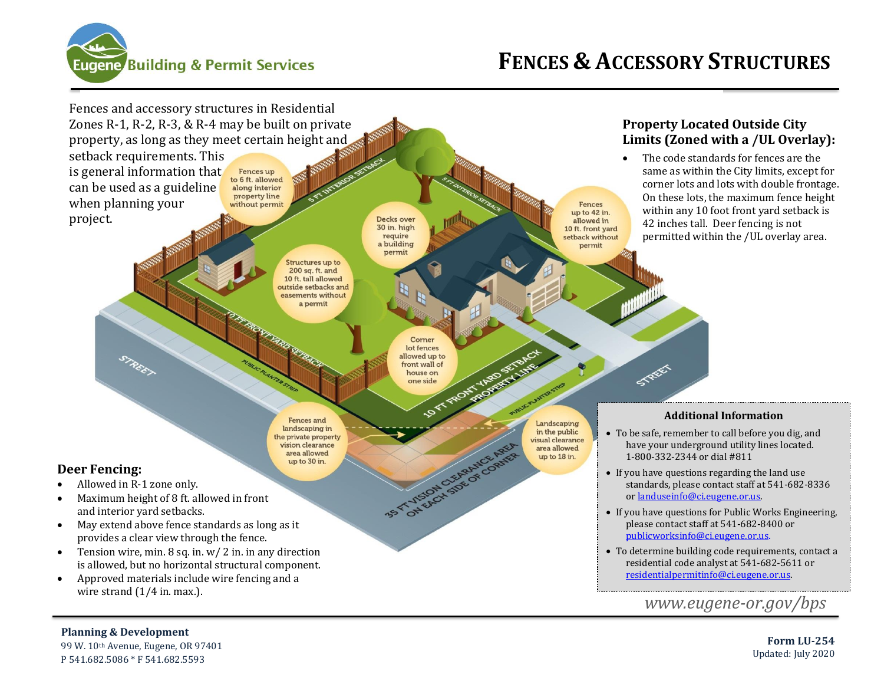



#### **Planning & Development**

99 W. 10th Avenue, Eugene, OR 97401 P 541.682.5086 \* F 541.682.5593

**Form LU-254** Updated: July 2020